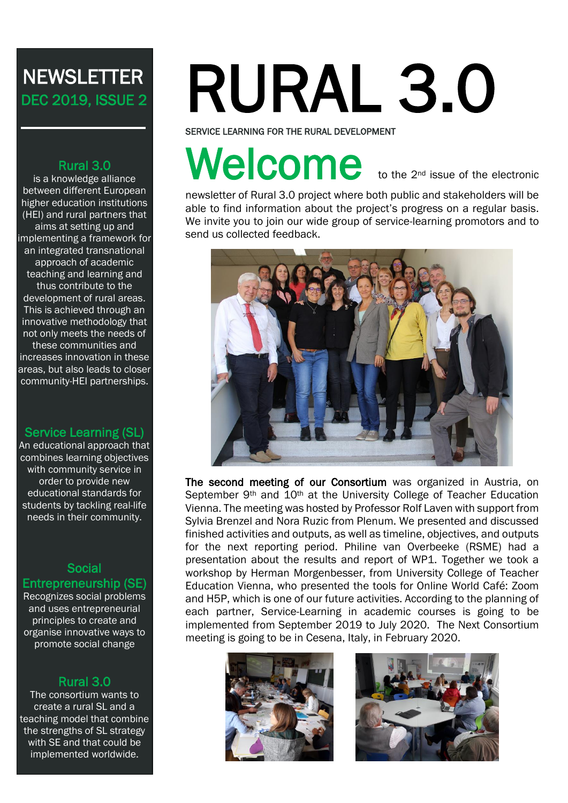# **NEWSLETTER** DEC 2019, ISSUE 2

#### Rural 3.0

is a knowledge alliance between different European higher education institutions (HEI) and rural partners that aims at setting up and implementing a framework for an integrated transnational approach of academic teaching and learning and thus contribute to the development of rural areas. This is achieved through an innovative methodology that not only meets the needs of these communities and increases innovation in these areas, but also leads to closer community-HEI partnerships.

#### Service Learning (SL)

An educational approach that combines learning objectives with community service in order to provide new educational standards for students by tackling real-life needs in their community.

#### Social Entrepreneurship (SE)

Recognizes social problems and uses entrepreneurial principles to create and organise innovative ways to promote social change

#### Rural 3.0

The consortium wants to create a rural SL and a teaching model that combine the strengths of SL strategy with SE and that could be implemented worldwide.

# RURAL 3.0

SERVICE LEARNING FOR THE RURAL DEVELOPMENT

# Welcome to the 2<sup>nd</sup> issue of the electronic

newsletter of Rural 3.0 project where both public and stakeholders will be able to find information about the project's progress on a regular basis. We invite you to join our wide group of service-learning promotors and to send us collected feedback.



The second meeting of our Consortium was organized in Austria, on September 9<sup>th</sup> and 10<sup>th</sup> at the University College of Teacher Education Vienna. The meeting was hosted by Professor Rolf Laven with support from Sylvia Brenzel and Nora Ruzic from Plenum. We presented and discussed finished activities and outputs, as well as timeline, objectives, and outputs for the next reporting period. Philine van Overbeeke (RSME) had a presentation about the results and report of WP1. Together we took a workshop by Herman Morgenbesser, from University College of Teacher Education Vienna, who presented the tools for Online World Café: Zoom and H5P, which is one of our future activities. According to the planning of each partner, Service-Learning in academic courses is going to be implemented from September 2019 to July 2020. The Next Consortium meeting is going to be in Cesena, Italy, in February 2020.



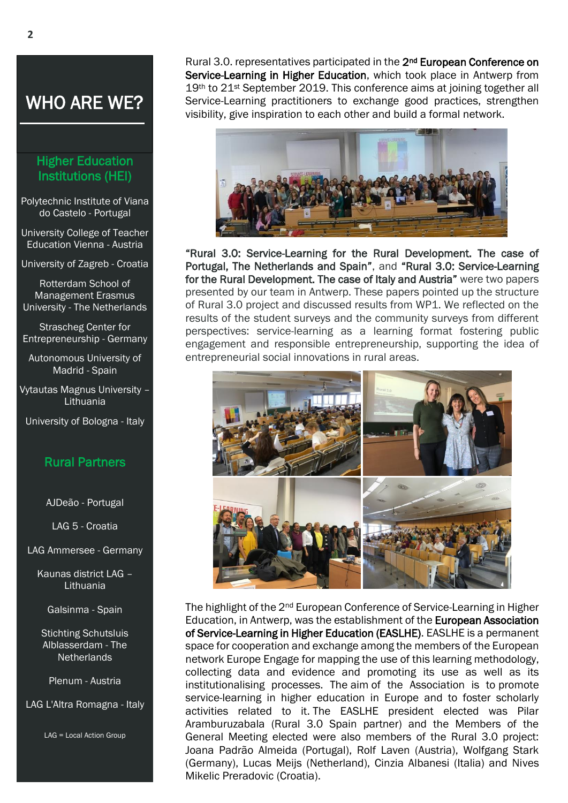### WHO ARE WE?

#### Higher Education Institutions (HEI)

Polytechnic Institute of Viana do Castelo - Portugal

University College of Teacher Education Vienna - Austria

University of Zagreb - Croatia

Rotterdam School of Management Erasmus University - The Netherlands

Strascheg Center for Entrepreneurship - Germany

Autonomous University of Madrid - Spain

Vytautas Magnus University – **Lithuania** 

University of Bologna - Italy

#### Rural Partners

AJDeão - Portugal

LAG 5 - Croatia

LAG Ammersee - Germany

Kaunas district LAG – Lithuania

Galsinma - Spain

Stichting Schutsluis Alblasserdam - The **Netherlands** 

Plenum - Austria

LAG L'Altra Romagna - Italy

LAG = Local Action Group

Rural 3.0. representatives participated in the 2<sup>nd</sup> European Conference on Service-Learning in Higher Education, which took place in Antwerp from 19th to 21<sup>st</sup> September 2019. This conference aims at joining together all Service-Learning practitioners to exchange good practices, strengthen visibility, give inspiration to each other and build a formal network.



"Rural 3.0: Service-Learning for the Rural Development. The case of Portugal, The Netherlands and Spain", and "Rural 3.0: Service-Learning for the Rural Development. The case of Italy and Austria" were two papers presented by our team in Antwerp. These papers pointed up the structure of Rural 3.0 project and discussed results from WP1. We reflected on the results of the student surveys and the community surveys from different perspectives: service-learning as a learning format fostering public engagement and responsible entrepreneurship, supporting the idea of entrepreneurial social innovations in rural areas.



The highlight of the 2<sup>nd</sup> European Conference of Service-Learning in Higher Education, in Antwerp, was the establishment of the European Association of Service-Learning in Higher Education (EASLHE). EASLHE is a permanent space for cooperation and exchange among the members of the European network Europe Engage for mapping the use of this learning methodology, collecting data and evidence and promoting its use as well as its institutionalising processes. The aim of the Association is to promote service-learning in higher education in Europe and to foster scholarly activities related to it. The EASLHE president elected was Pilar Aramburuzabala (Rural 3.0 Spain partner) and the Members of the General Meeting elected were also members of the Rural 3.0 project: Joana Padrão Almeida (Portugal), Rolf Laven (Austria), Wolfgang Stark (Germany), Lucas Meijs (Netherland), Cinzia Albanesi (Italia) and Nives Mikelic Preradovic (Croatia).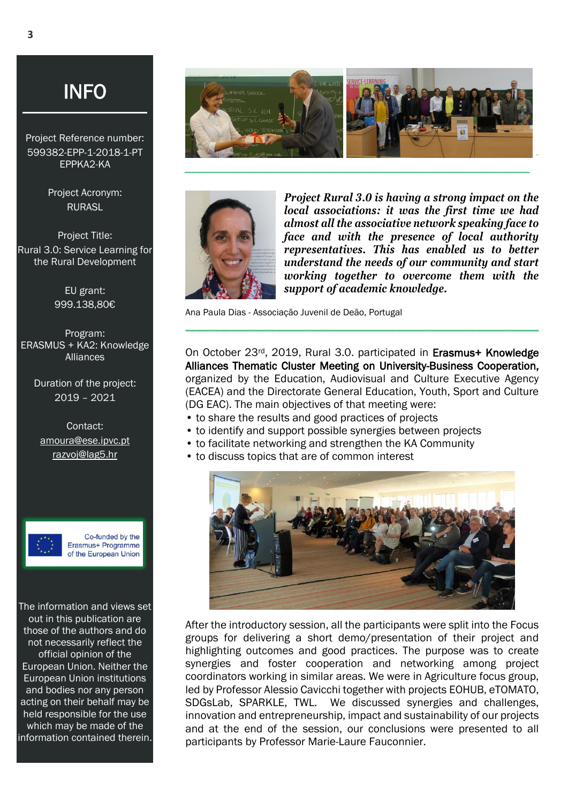Project Reference number: 599382-EPP-1-2018-1-PT EPPKA2-KA

> Project Acronym: RURASL

Project Title: Rural 3.0: Service Learning for the Rural Development

> EU grant: 999.138,80€

Program: ERASMUS + KA2: Knowledge Alliances

Duration of the project: 2019 – 2021

Contact: [amoura@ese.ipvc.pt](mailto:amoura@ese.ipvc.pt) [razvoj@lag5.hr](mailto:razvoj@lag5.hr)



Co-funded by the Erasmus+ Programme of the European Union

The information and views set out in this publication are those of the authors and do not necessarily reflect the official opinion of the European Union. Neither the European Union institutions and bodies nor any person acting on their behalf may be held responsible for the use which may be made of the information contained therein.





*Project Rural 3.0 is having a strong impact on the local associations: it was the first time we had almost all the associative network speaking face to face and with the presence of local authority representatives. This has enabled us to better understand the needs of our community and start working together to overcome them with the support of academic knowledge.*

Ana Paula Dias - Associação Juvenil de Deão, Portugal

On October 23rd, 2019, Rural 3.0. participated in Erasmus+ Knowledge Alliances Thematic Cluster Meeting on University-Business Cooperation, organized by the Education, Audiovisual and Culture Executive Agency (EACEA) and the Directorate General Education, Youth, Sport and Culture (DG EAC). The main objectives of that meeting were:

\_\_\_\_\_\_\_\_\_\_\_\_\_\_\_\_\_\_\_\_\_\_\_\_\_\_\_\_\_\_\_\_\_\_\_\_\_\_\_\_\_\_\_\_\_\_\_\_\_\_\_\_\_\_\_\_\_\_\_\_\_\_

- to share the results and good practices of projects
- to identify and support possible synergies between projects
- to facilitate networking and strengthen the KA Community
- to discuss topics that are of common interest



After the introductory session, all the participants were split into the Focus groups for delivering a short demo/presentation of their project and highlighting outcomes and good practices. The purpose was to create synergies and foster cooperation and networking among project coordinators working in similar areas. We were in Agriculture focus group, led by Professor Alessio Cavicchi together with projects EOHUB, eTOMATO, SDGsLab, SPARKLE, TWL. We discussed synergies and challenges, innovation and entrepreneurship, impact and sustainability of our projects and at the end of the session, our conclusions were presented to all participants by Professor Marie-Laure Fauconnier.